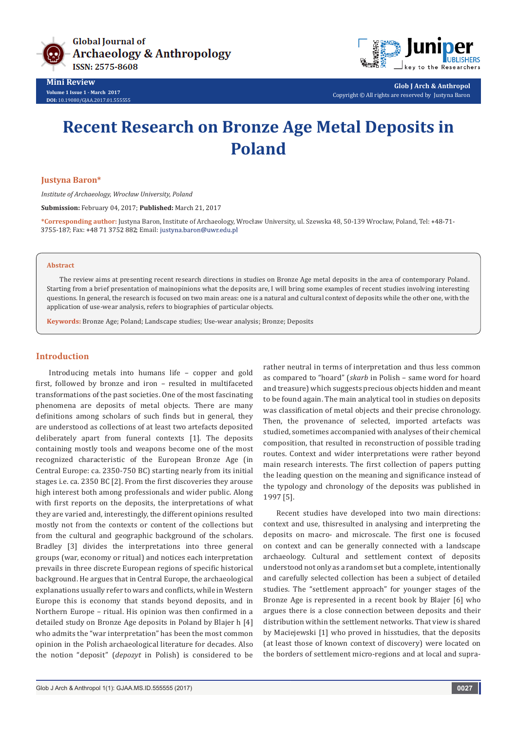

**Mini Review Volume 1 Issue 1 - March 2017 DOI:** [10.19080/GJAA.2017.01.555555](http://dx.doi.org/10.19080/GJAA.2017.01.555555
)



**Glob J Arch & Anthropol** Copyright © All rights are reserved by Justyna Baron

# **Recent Research on Bronze Age Metal Deposits in Poland**

#### **Justyna Baron\***

*Institute of Archaeology, Wrocław University, Poland*

**Submission:** February 04, 2017; **Published:** March 21, 2017

**\*Corresponding author:** Justyna Baron, Institute of Archaeology, Wrocław University, ul. Szewska 48, 50-139 Wrocław, Poland, Tel: 3755-187; Fax: +48 71 3752 882; Email: justyna.baron@uwr.edu.pl

#### **Abstract**

The review aims at presenting recent research directions in studies on Bronze Age metal deposits in the area of contemporary Poland. Starting from a brief presentation of mainopinions what the deposits are, I will bring some examples of recent studies involving interesting questions. In general, the research is focused on two main areas: one is a natural and cultural context of deposits while the other one, with the application of use-wear analysis, refers to biographies of particular objects.

**Keywords:** Bronze Age; Poland; Landscape studies; Use-wear analysis; Bronze; Deposits

## **Introduction**

Introducing metals into humans life – copper and gold first, followed by bronze and iron – resulted in multifaceted transformations of the past societies. One of the most fascinating phenomena are deposits of metal objects. There are many definitions among scholars of such finds but in general, they are understood as collections of at least two artefacts deposited deliberately apart from funeral contexts [1]. The deposits containing mostly tools and weapons become one of the most recognized characteristic of the European Bronze Age (in Central Europe: ca. 2350-750 BC) starting nearly from its initial stages i.e. ca. 2350 BC [2]. From the first discoveries they arouse high interest both among professionals and wider public. Along with first reports on the deposits, the interpretations of what they are varied and, interestingly, the different opinions resulted mostly not from the contexts or content of the collections but from the cultural and geographic background of the scholars. Bradley [3] divides the interpretations into three general groups (war, economy or ritual) and notices each interpretation prevails in three discrete European regions of specific historical background. He argues that in Central Europe, the archaeological explanations usually refer to wars and conflicts, while in Western Europe this is economy that stands beyond deposits, and in Northern Europe – ritual. His opinion was then confirmed in a detailed study on Bronze Age deposits in Poland by Blajer h [4] who admits the "war interpretation" has been the most common opinion in the Polish archaeological literature for decades. Also the notion "deposit" (*depozyt* in Polish) is considered to be

rather neutral in terms of interpretation and thus less common as compared to "hoard" (*skarb* in Polish – same word for hoard and treasure) which suggests precious objects hidden and meant to be found again. The main analytical tool in studies on deposits was classification of metal objects and their precise chronology. Then, the provenance of selected, imported artefacts was studied, sometimes accompanied with analyses of their chemical composition, that resulted in reconstruction of possible trading routes. Context and wider interpretations were rather beyond main research interests. The first collection of papers putting the leading question on the meaning and significance instead of the typology and chronology of the deposits was published in 1997 [5].

Recent studies have developed into two main directions: context and use, thisresulted in analysing and interpreting the deposits on macro- and microscale. The first one is focused on context and can be generally connected with a landscape archaeology. Cultural and settlement context of deposits understood not only as a random set but a complete, intentionally and carefully selected collection has been a subject of detailed studies. The "settlement approach" for younger stages of the Bronze Age is represented in a recent book by Blajer [6] who argues there is a close connection between deposits and their distribution within the settlement networks. That view is shared by Maciejewski [1] who proved in hisstudies, that the deposits (at least those of known context of discovery) were located on the borders of settlement micro-regions and at local and supra